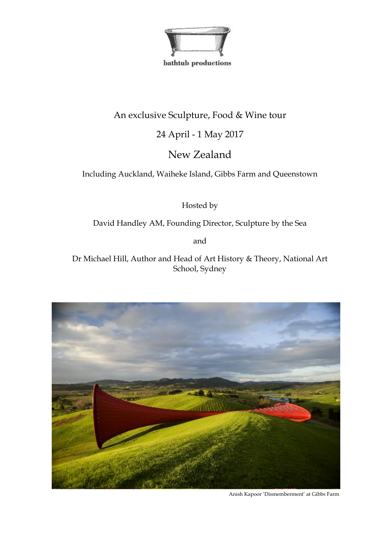

bathtub productions

# An exclusive Sculpture, Food & Wine tour

## 24 April - 1 May 2017

# New Zealand

Including Auckland, Waiheke Island, Gibbs Farm and Queenstown

Hosted by

David Handley AM, Founding Director, Sculpture by the Sea

and

Dr Michael Hill, Author and Head of Art History & Theory, National Art School, Sydney



Anish Kapoor 'Dismemberment' at Gibbs Farm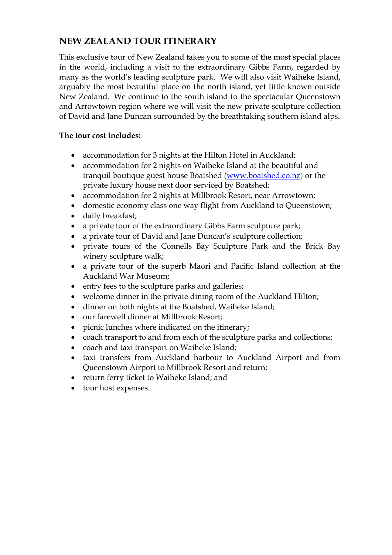## **NEW ZEALAND TOUR ITINERARY**

This exclusive tour of New Zealand takes you to some of the most special places in the world, including a visit to the extraordinary Gibbs Farm, regarded by many as the world's leading sculpture park. We will also visit Waiheke Island, arguably the most beautiful place on the north island, yet little known outside New Zealand. We continue to the south island to the spectacular Queenstown and Arrowtown region where we will visit the new private sculpture collection of David and Jane Duncan surrounded by the breathtaking southern island alps**.**

### **The tour cost includes:**

- accommodation for 3 nights at the Hilton Hotel in Auckland;
- accommodation for 2 nights on Waiheke Island at the beautiful and tranquil boutique guest house Boatshed [\(www.boatshed.co.nz\)](http://www.boatshed.co.nz/) or the private luxury house next door serviced by Boatshed;
- accommodation for 2 nights at Millbrook Resort, near Arrowtown;
- domestic economy class one way flight from Auckland to Queenstown;
- daily breakfast;
- a private tour of the extraordinary Gibbs Farm sculpture park;
- a private tour of David and Jane Duncan's sculpture collection;
- private tours of the Connells Bay Sculpture Park and the Brick Bay winery sculpture walk;
- a private tour of the superb Maori and Pacific Island collection at the Auckland War Museum;
- entry fees to the sculpture parks and galleries;
- welcome dinner in the private dining room of the Auckland Hilton;
- dinner on both nights at the Boatshed, Waiheke Island;
- our farewell dinner at Millbrook Resort;
- picnic lunches where indicated on the itinerary;
- coach transport to and from each of the sculpture parks and collections;
- coach and taxi transport on Waiheke Island;
- taxi transfers from Auckland harbour to Auckland Airport and from Queenstown Airport to Millbrook Resort and return;
- return ferry ticket to Waiheke Island; and
- tour host expenses.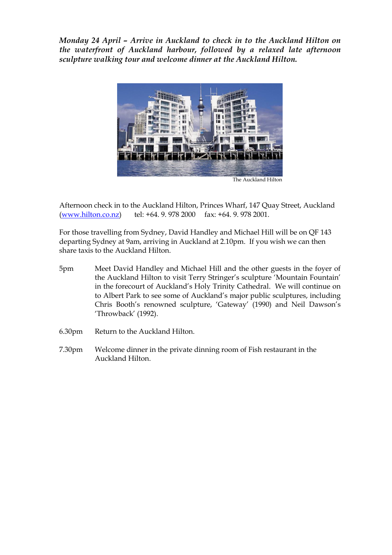*Monday 24 April – Arrive in Auckland to check in to the Auckland Hilton on the waterfront of Auckland harbour, followed by a relaxed late afternoon sculpture walking tour and welcome dinner at the Auckland Hilton.*



The Auckland Hilton

Afternoon check in to the Auckland Hilton, Princes Wharf, 147 Quay Street, Auckland [\(www.hilton.co.nz\)](http://www.hilton.co.nz/) tel: +64. 9. 978 2000 fax: +64. 9. 978 2001.

For those travelling from Sydney, David Handley and Michael Hill will be on QF 143 departing Sydney at 9am, arriving in Auckland at 2.10pm. If you wish we can then share taxis to the Auckland Hilton.

- 5pm Meet David Handley and Michael Hill and the other guests in the foyer of the Auckland Hilton to visit Terry Stringer's sculpture 'Mountain Fountain' in the forecourt of Auckland's Holy Trinity Cathedral. We will continue on to Albert Park to see some of Auckland's major public sculptures, including Chris Booth's renowned sculpture, 'Gateway' (1990) and Neil Dawson's 'Throwback' (1992).
- 6.30pm Return to the Auckland Hilton.
- 7.30pm Welcome dinner in the private dinning room of Fish restaurant in the Auckland Hilton.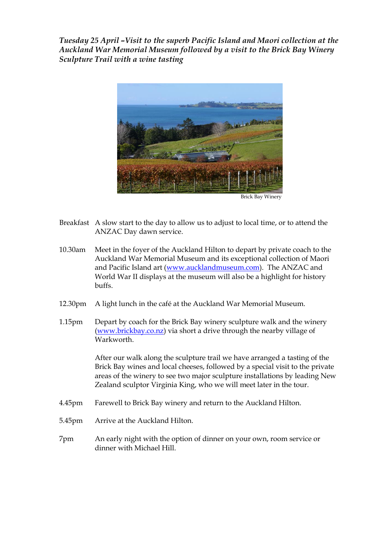*Tuesday 25 April –Visit to the superb Pacific Island and Maori collection at the Auckland War Memorial Museum followed by a visit to the Brick Bay Winery Sculpture Trail with a wine tasting*



Brick Bay Winery

- Breakfast A slow start to the day to allow us to adjust to local time, or to attend the ANZAC Day dawn service.
- 10.30am Meet in the foyer of the Auckland Hilton to depart by private coach to the Auckland War Memorial Museum and its exceptional collection of Maori and Pacific Island art [\(www.aucklandmuseum.com\)](http://www.aucklandmuseum.com/). The ANZAC and World War II displays at the museum will also be a highlight for history buffs.
- 12.30pm A light lunch in the café at the Auckland War Memorial Museum.
- 1.15pm Depart by coach for the Brick Bay winery sculpture walk and the winery [\(www.brickbay.co.nz\)](http://www.brickbay.co.nz/) via short a drive through the nearby village of Warkworth.

After our walk along the sculpture trail we have arranged a tasting of the Brick Bay wines and local cheeses, followed by a special visit to the private areas of the winery to see two major sculpture installations by leading New Zealand sculptor Virginia King, who we will meet later in the tour.

- 4.45pm Farewell to Brick Bay winery and return to the Auckland Hilton.
- 5.45pm Arrive at the Auckland Hilton.
- 7pm An early night with the option of dinner on your own, room service or dinner with Michael Hill.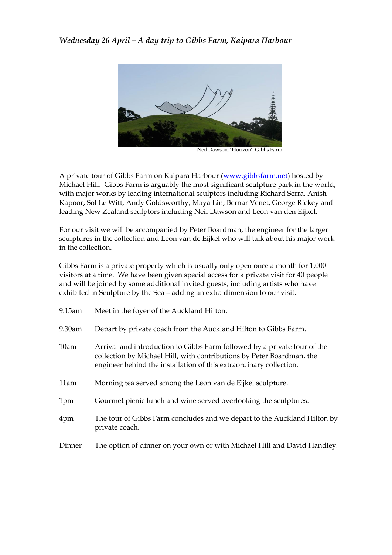

Neil Dawson, 'Horizon', Gibbs Farm

A private tour of Gibbs Farm on Kaipara Harbour [\(www.gibbsfarm.net\)](http://www.gibbsfarm.net/) hosted by Michael Hill. Gibbs Farm is arguably the most significant sculpture park in the world, with major works by leading international sculptors including Richard Serra, Anish Kapoor, Sol Le Witt, Andy Goldsworthy, Maya Lin, Bernar Venet, George Rickey and leading New Zealand sculptors including Neil Dawson and Leon van den Eijkel.

For our visit we will be accompanied by Peter Boardman, the engineer for the larger sculptures in the collection and Leon van de Eijkel who will talk about his major work in the collection.

Gibbs Farm is a private property which is usually only open once a month for 1,000 visitors at a time. We have been given special access for a private visit for 40 people and will be joined by some additional invited guests, including artists who have exhibited in Sculpture by the Sea – adding an extra dimension to our visit.

| $9.15$ am | Meet in the foyer of the Auckland Hilton.                                                                                                                                                                               |  |
|-----------|-------------------------------------------------------------------------------------------------------------------------------------------------------------------------------------------------------------------------|--|
| $9.30$ am | Depart by private coach from the Auckland Hilton to Gibbs Farm.                                                                                                                                                         |  |
| 10am      | Arrival and introduction to Gibbs Farm followed by a private tour of the<br>collection by Michael Hill, with contributions by Peter Boardman, the<br>engineer behind the installation of this extraordinary collection. |  |
| 11am      | Morning tea served among the Leon van de Eijkel sculpture.                                                                                                                                                              |  |
| 1pm       | Gourmet picnic lunch and wine served overlooking the sculptures.                                                                                                                                                        |  |
| 4pm       | The tour of Gibbs Farm concludes and we depart to the Auckland Hilton by<br>private coach.                                                                                                                              |  |
| Dinner    | The option of dinner on your own or with Michael Hill and David Handley.                                                                                                                                                |  |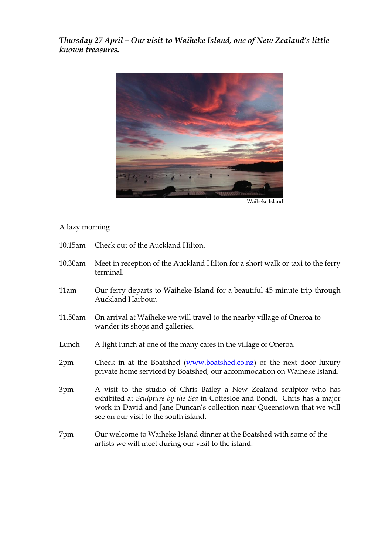*Thursday 27 April – Our visit to Waiheke Island, one of New Zealand's little known treasures.*



#### A lazy morning

- 10.15am Check out of the Auckland Hilton.
- 10.30am Meet in reception of the Auckland Hilton for a short walk or taxi to the ferry terminal.
- 11am Our ferry departs to Waiheke Island for a beautiful 45 minute trip through Auckland Harbour.
- 11.50am On arrival at Waiheke we will travel to the nearby village of Oneroa to wander its shops and galleries.
- Lunch A light lunch at one of the many cafes in the village of Oneroa.
- 2pm Check in at the Boatshed [\(www.boatshed.co.nz\)](http://www.boatshed.co.nz/) or the next door luxury private home serviced by Boatshed, our accommodation on Waiheke Island.
- 3pm A visit to the studio of Chris Bailey a New Zealand sculptor who has exhibited at *Sculpture by the Sea* in Cottesloe and Bondi. Chris has a major work in David and Jane Duncan's collection near Queenstown that we will see on our visit to the south island.
- 7pm Our welcome to Waiheke Island dinner at the Boatshed with some of the artists we will meet during our visit to the island.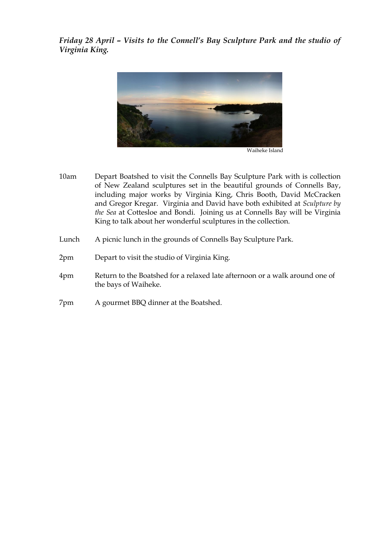*Friday 28 April – Visits to the Connell's Bay Sculpture Park and the studio of Virginia King.*



10am Depart Boatshed to visit the Connells Bay Sculpture Park with is collection of New Zealand sculptures set in the beautiful grounds of Connells Bay, including major works by Virginia King, Chris Booth, David McCracken and Gregor Kregar. Virginia and David have both exhibited at *Sculpture by the Sea* at Cottesloe and Bondi. Joining us at Connells Bay will be Virginia King to talk about her wonderful sculptures in the collection.

- Lunch A picnic lunch in the grounds of Connells Bay Sculpture Park.
- 2pm Depart to visit the studio of Virginia King.
- 4pm Return to the Boatshed for a relaxed late afternoon or a walk around one of the bays of Waiheke.
- 7pm A gourmet BBQ dinner at the Boatshed.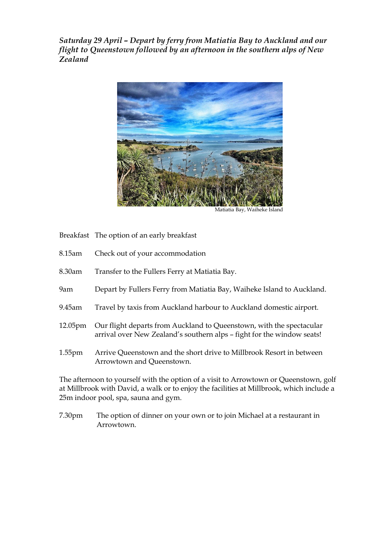*Saturday 29 April – Depart by ferry from Matiatia Bay to Auckland and our flight to Queenstown followed by an afternoon in the southern alps of New Zealand*



Matiatia Bay, Waiheke Island

Breakfast The option of an early breakfast

- 8.15am Check out of your accommodation
- 8.30am Transfer to the Fullers Ferry at Matiatia Bay.
- 9am Depart by Fullers Ferry from Matiatia Bay, Waiheke Island to Auckland.
- 9.45am Travel by taxis from Auckland harbour to Auckland domestic airport.
- 12.05pm Our flight departs from Auckland to Queenstown, with the spectacular arrival over New Zealand's southern alps – fight for the window seats!
- 1.55pm Arrive Queenstown and the short drive to Millbrook Resort in between Arrowtown and Queenstown.

The afternoon to yourself with the option of a visit to Arrowtown or Queenstown, golf at Millbrook with David, a walk or to enjoy the facilities at Millbrook, which include a 25m indoor pool, spa, sauna and gym.

7.30pm The option of dinner on your own or to join Michael at a restaurant in Arrowtown.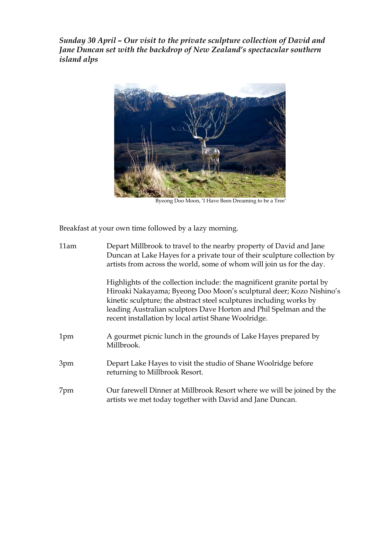*Sunday 30 April – Our visit to the private sculpture collection of David and Jane Duncan set with the backdrop of New Zealand's spectacular southern island alps*



Byeong Doo Moon, 'I Have Been Dreaming to be a Tree'

Breakfast at your own time followed by a lazy morning.

| 11am | Depart Millbrook to travel to the nearby property of David and Jane<br>Duncan at Lake Hayes for a private tour of their sculpture collection by<br>artists from across the world, some of whom will join us for the day.                                                                                                                           |
|------|----------------------------------------------------------------------------------------------------------------------------------------------------------------------------------------------------------------------------------------------------------------------------------------------------------------------------------------------------|
|      | Highlights of the collection include: the magnificent granite portal by<br>Hiroaki Nakayama; Byeong Doo Moon's sculptural deer; Kozo Nishino's<br>kinetic sculpture; the abstract steel sculptures including works by<br>leading Australian sculptors Dave Horton and Phil Spelman and the<br>recent installation by local artist Shane Woolridge. |
| 1pm  | A gourmet picnic lunch in the grounds of Lake Hayes prepared by<br>Millbrook.                                                                                                                                                                                                                                                                      |
| 3pm  | Depart Lake Hayes to visit the studio of Shane Woolridge before<br>returning to Millbrook Resort.                                                                                                                                                                                                                                                  |
| 7pm  | Our farewell Dinner at Millbrook Resort where we will be joined by the<br>artists we met today together with David and Jane Duncan.                                                                                                                                                                                                                |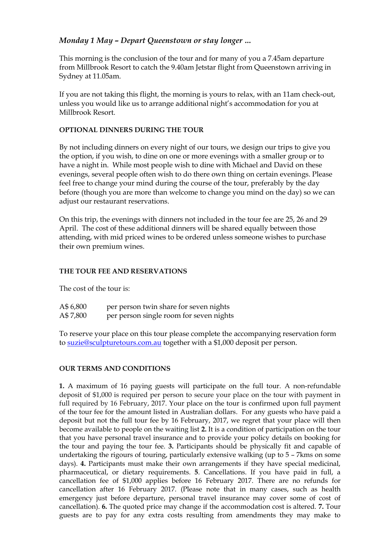### *Monday 1 May – Depart Queenstown or stay longer …*

This morning is the conclusion of the tour and for many of you a 7.45am departure from Millbrook Resort to catch the 9.40am Jetstar flight from Queenstown arriving in Sydney at 11.05am.

If you are not taking this flight, the morning is yours to relax, with an 11am check-out, unless you would like us to arrange additional night's accommodation for you at Millbrook Resort.

#### **OPTIONAL DINNERS DURING THE TOUR**

By not including dinners on every night of our tours, we design our trips to give you the option, if you wish, to dine on one or more evenings with a smaller group or to have a night in. While most people wish to dine with Michael and David on these evenings, several people often wish to do there own thing on certain evenings. Please feel free to change your mind during the course of the tour, preferably by the day before (though you are more than welcome to change you mind on the day) so we can adjust our restaurant reservations.

On this trip, the evenings with dinners not included in the tour fee are 25, 26 and 29 April. The cost of these additional dinners will be shared equally between those attending, with mid priced wines to be ordered unless someone wishes to purchase their own premium wines.

#### **THE TOUR FEE AND RESERVATIONS**

The cost of the tour is:

| A\$ 6,800 | per person twin share for seven nights  |
|-----------|-----------------------------------------|
| A\$7,800  | per person single room for seven nights |

To reserve your place on this tour please complete the accompanying reservation form to [suzie@sculpturetours.com.au](mailto:suzie@sculpturetours.com.au) together with a \$1,000 deposit per person.

#### **OUR TERMS AND CONDITIONS**

**1.** A maximum of 16 paying guests will participate on the full tour. A non-refundable deposit of \$1,000 is required per person to secure your place on the tour with payment in full required by 16 February, 2017. Your place on the tour is confirmed upon full payment of the tour fee for the amount listed in Australian dollars. For any guests who have paid a deposit but not the full tour fee by 16 February, 2017, we regret that your place will then become available to people on the waiting list **2.** It is a condition of participation on the tour that you have personal travel insurance and to provide your policy details on booking for the tour and paying the tour fee. **3.** Participants should be physically fit and capable of undertaking the rigours of touring, particularly extensive walking (up to 5 – 7kms on some days). **4.** Participants must make their own arrangements if they have special medicinal, pharmaceutical, or dietary requirements. **5**. Cancellations. If you have paid in full, a cancellation fee of \$1,000 applies before 16 February 2017. There are no refunds for cancellation after 16 February 2017. (Please note that in many cases, such as health emergency just before departure, personal travel insurance may cover some of cost of cancellation). **6.** The quoted price may change if the accommodation cost is altered. **7.** Tour guests are to pay for any extra costs resulting from amendments they may make to